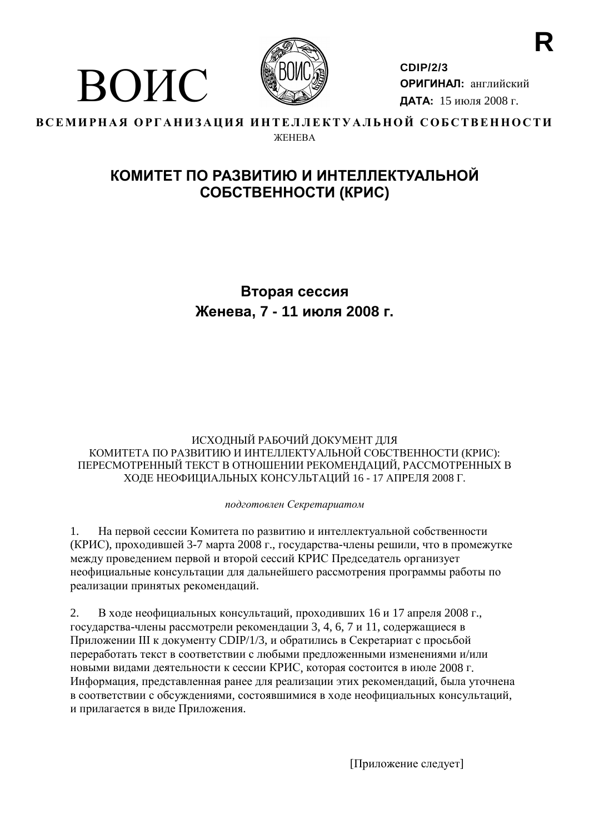



**CDIP/2/3** ОРИГИНАЛ: английский ДАТА: 15 июля 2008 г.

#### ВСЕМИРНАЯ ОРГАНИЗАЦИЯ ИНТЕЛЛЕКТУАЛЬНОЙ СОБСТВЕННОСТИ **WEHEBA**

## КОМИТЕТ ПО РАЗВИТИЮ И ИНТЕЛЛЕКТУАЛЬНОЙ СОБСТВЕННОСТИ (КРИС)

## Вторая сессия Женева, 7 - 11 июля 2008 г.

#### ИСХОДНЫЙ РАБОЧИЙ ДОКУМЕНТ ДЛЯ КОМИТЕТА ПО РАЗВИТИЮ И ИНТЕЛЛЕКТУАЛЬНОЙ СОБСТВЕННОСТИ (КРИС): ПЕРЕСМОТРЕННЫЙ ТЕКСТ В ОТНОШЕНИИ РЕКОМЕНДАЦИЙ, РАССМОТРЕННЫХ В ХОДЕ НЕОФИЦИАЛЬНЫХ КОНСУЛЬТАЦИЙ 16 - 17 АПРЕЛЯ 2008 Г.

#### подготовлен Секретариатом

 $1<sub>1</sub>$ На первой сессии Комитета по развитию и интеллектуальной собственности (КРИС), проходившей 3-7 марта 2008 г., государства-члены решили, что в промежутке между проведением первой и второй сессий КРИС Председатель организует неофициальные консультации для дальнейшего рассмотрения программы работы по реализации принятых рекомендаций.

 $\overline{2}$ . В ходе неофициальных консультаций, проходивших 16 и 17 апреля 2008 г., государства-члены рассмотрели рекомендации 3, 4, 6, 7 и 11, содержащиеся в Приложении III к документу CDIP/1/3, и обратились в Секретариат с просьбой переработать текст в соответствии с любыми предложенными изменениями и/или новыми видами деятельности к сессии КРИС, которая состоится в июле 2008 г. Информация, представленная ранее для реализации этих рекомендаций, была уточнена в соответствии с обсуждениями, состоявшимися в ходе неофициальных консультаций, и прилагается в виде Приложения.

[Приложение следует]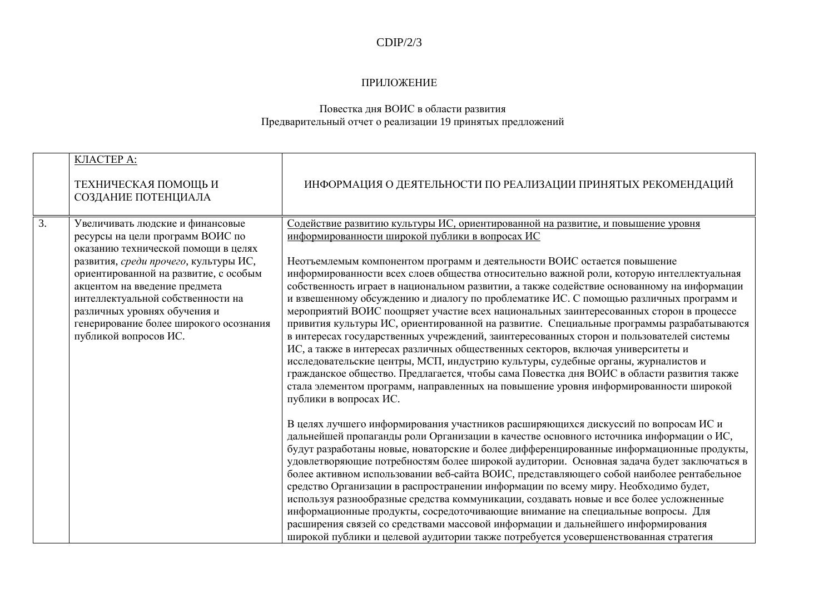#### $CDIP/2/3$

#### ПРИЛОЖЕНИЕ

# Повестка дня ВОИС в области развития<br>Предварительный отчет о реализации 19 принятых предложений

|    | КЛАСТЕРА:<br>ТЕХНИЧЕСКАЯ ПОМОЩЬ И<br>СОЗДАНИЕ ПОТЕНЦИАЛА                                                                                                                                                                                                                                                                                                               | ИНФОРМАЦИЯ О ДЕЯТЕЛЬНОСТИ ПО РЕАЛИЗАЦИИ ПРИНЯТЫХ РЕКОМЕНДАЦИЙ                                                                                                                                                                                                                                                                                                                                                                                                                                                                                                                                                                                                                                                                                                                                                                                                                                                                                                                                                                                                                                                                                                              |
|----|------------------------------------------------------------------------------------------------------------------------------------------------------------------------------------------------------------------------------------------------------------------------------------------------------------------------------------------------------------------------|----------------------------------------------------------------------------------------------------------------------------------------------------------------------------------------------------------------------------------------------------------------------------------------------------------------------------------------------------------------------------------------------------------------------------------------------------------------------------------------------------------------------------------------------------------------------------------------------------------------------------------------------------------------------------------------------------------------------------------------------------------------------------------------------------------------------------------------------------------------------------------------------------------------------------------------------------------------------------------------------------------------------------------------------------------------------------------------------------------------------------------------------------------------------------|
| 3. | Увеличивать людские и финансовые<br>ресурсы на цели программ ВОИС по<br>оказанию технической помощи в целях<br>развития, среди прочего, культуры ИС,<br>ориентированной на развитие, с особым<br>акцентом на введение предмета<br>интеллектуальной собственности на<br>различных уровнях обучения и<br>генерирование более широкого осознания<br>публикой вопросов ИС. | Содействие развитию культуры ИС, ориентированной на развитие, и повышение уровня<br>информированности широкой публики в вопросах ИС<br>Неотъемлемым компонентом программ и деятельности ВОИС остается повышение<br>информированности всех слоев общества относительно важной роли, которую интеллектуальная<br>собственность играет в национальном развитии, а также содействие основанному на информации<br>и взвешенному обсуждению и диалогу по проблематике ИС. С помощью различных программ и<br>мероприятий ВОИС поощряет участие всех национальных заинтересованных сторон в процессе<br>привития культуры ИС, ориентированной на развитие. Специальные программы разрабатываются<br>в интересах государственных учреждений, заинтересованных сторон и пользователей системы<br>ИС, а также в интересах различных общественных секторов, включая университеты и<br>исследовательские центры, МСП, индустрию культуры, судебные органы, журналистов и<br>гражданское общество. Предлагается, чтобы сама Повестка дня ВОИС в области развития также<br>стала элементом программ, направленных на повышение уровня информированности широкой<br>публики в вопросах ИС. |
|    |                                                                                                                                                                                                                                                                                                                                                                        | В целях лучшего информирования участников расширяющихся дискуссий по вопросам ИС и<br>дальнейшей пропаганды роли Организации в качестве основного источника информации о ИС,<br>будут разработаны новые, новаторские и более дифференцированные информационные продукты,<br>удовлетворяющие потребностям более широкой аудитории. Основная задача будет заключаться в<br>более активном использовании веб-сайта ВОИС, представляющего собой наиболее рентабельное<br>средство Организации в распространении информации по всему миру. Необходимо будет,<br>используя разнообразные средства коммуникации, создавать новые и все более усложненные<br>информационные продукты, сосредоточивающие внимание на специальные вопросы. Для<br>расширения связей со средствами массовой информации и дальнейшего информирования<br>широкой публики и целевой аудитории также потребуется усовершенствованная стратегия                                                                                                                                                                                                                                                            |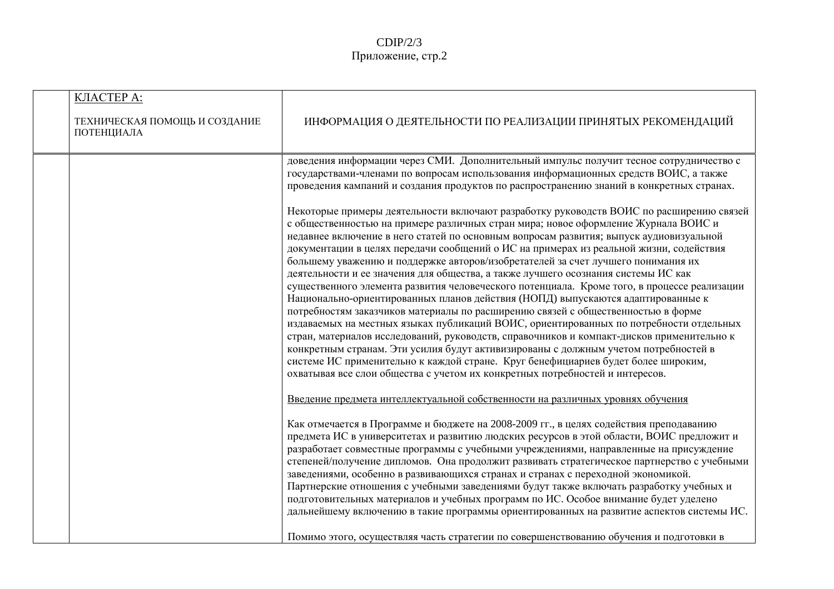| <b>КЛАСТЕРА:</b>                            |                                                                                                                                                                                                                                                                                                                                                                                                                                                                                                                                                                                                                                                                                                                                                                                                                                                                                                                                                                                                                                                                                                                                                                                                                                                                     |
|---------------------------------------------|---------------------------------------------------------------------------------------------------------------------------------------------------------------------------------------------------------------------------------------------------------------------------------------------------------------------------------------------------------------------------------------------------------------------------------------------------------------------------------------------------------------------------------------------------------------------------------------------------------------------------------------------------------------------------------------------------------------------------------------------------------------------------------------------------------------------------------------------------------------------------------------------------------------------------------------------------------------------------------------------------------------------------------------------------------------------------------------------------------------------------------------------------------------------------------------------------------------------------------------------------------------------|
| ТЕХНИЧЕСКАЯ ПОМОЩЬ И СОЗДАНИЕ<br>ПОТЕНЦИАЛА | ИНФОРМАЦИЯ О ДЕЯТЕЛЬНОСТИ ПО РЕАЛИЗАЦИИ ПРИНЯТЫХ РЕКОМЕНДАЦИЙ                                                                                                                                                                                                                                                                                                                                                                                                                                                                                                                                                                                                                                                                                                                                                                                                                                                                                                                                                                                                                                                                                                                                                                                                       |
|                                             | доведения информации через СМИ. Дополнительный импульс получит тесное сотрудничество с<br>государствами-членами по вопросам использования информационных средств ВОИС, а также<br>проведения кампаний и создания продуктов по распространению знаний в конкретных странах.                                                                                                                                                                                                                                                                                                                                                                                                                                                                                                                                                                                                                                                                                                                                                                                                                                                                                                                                                                                          |
|                                             | Некоторые примеры деятельности включают разработку руководств ВОИС по расширению связей<br>с общественностью на примере различных стран мира; новое оформление Журнала ВОИС и<br>недавнее включение в него статей по основным вопросам развития; выпуск аудиовизуальной<br>документации в целях передачи сообщений о ИС на примерах из реальной жизни, содействия<br>большему уважению и поддержке авторов/изобретателей за счет лучшего понимания их<br>деятельности и ее значения для общества, а также лучшего осознания системы ИС как<br>существенного элемента развития человеческого потенциала. Кроме того, в процессе реализации<br>Национально-ориентированных планов действия (НОПД) выпускаются адаптированные к<br>потребностям заказчиков материалы по расширению связей с общественностью в форме<br>издаваемых на местных языках публикаций ВОИС, ориентированных по потребности отдельных<br>стран, материалов исследований, руководств, справочников и компакт-дисков применительно к<br>конкретным странам. Эти усилия будут активизированы с должным учетом потребностей в<br>системе ИС применительно к каждой стране. Круг бенефициариев будет более широким,<br>охватывая все слои общества с учетом их конкретных потребностей и интересов. |
|                                             | Введение предмета интеллектуальной собственности на различных уровнях обучения                                                                                                                                                                                                                                                                                                                                                                                                                                                                                                                                                                                                                                                                                                                                                                                                                                                                                                                                                                                                                                                                                                                                                                                      |
|                                             | Как отмечается в Программе и бюджете на 2008-2009 гг., в целях содействия преподаванию<br>предмета ИС в университетах и развитию людских ресурсов в этой области, ВОИС предложит и<br>разработает совместные программы с учебными учреждениями, направленные на присуждение<br>степеней/получение дипломов. Она продолжит развивать стратегическое партнерство с учебными<br>заведениями, особенно в развивающихся странах и странах с переходной экономикой.<br>Партнерские отношения с учебными заведениями будут также включать разработку учебных и<br>подготовительных материалов и учебных программ по ИС. Особое внимание будет уделено<br>дальнейшему включению в такие программы ориентированных на развитие аспектов системы ИС.                                                                                                                                                                                                                                                                                                                                                                                                                                                                                                                          |
|                                             | Помимо этого, осуществляя часть стратегии по совершенствованию обучения и подготовки в                                                                                                                                                                                                                                                                                                                                                                                                                                                                                                                                                                                                                                                                                                                                                                                                                                                                                                                                                                                                                                                                                                                                                                              |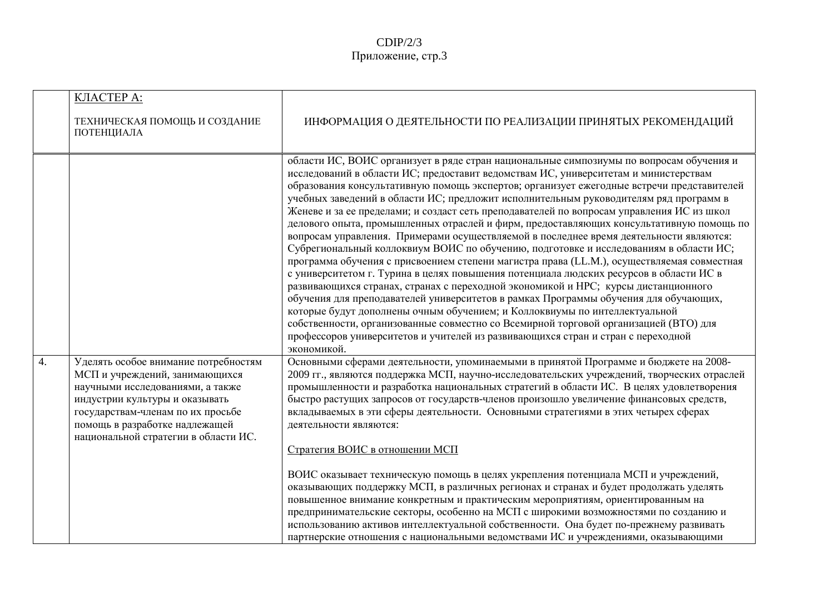|    | КЛАСТЕРА:<br>ТЕХНИЧЕСКАЯ ПОМОЩЬ И СОЗДАНИЕ<br>ПОТЕНЦИАЛА                                                                                                                                                                                                    | ИНФОРМАЦИЯ О ДЕЯТЕЛЬНОСТИ ПО РЕАЛИЗАЦИИ ПРИНЯТЫХ РЕКОМЕНДАЦИЙ                                                                                                                                                                                                                                                                                                                                                                                                                                                                                                                                                                                                                                                                                                                                                                                                                                                                                                                                                                                                                                                                                                                                                                                                                                                                                                                                  |
|----|-------------------------------------------------------------------------------------------------------------------------------------------------------------------------------------------------------------------------------------------------------------|------------------------------------------------------------------------------------------------------------------------------------------------------------------------------------------------------------------------------------------------------------------------------------------------------------------------------------------------------------------------------------------------------------------------------------------------------------------------------------------------------------------------------------------------------------------------------------------------------------------------------------------------------------------------------------------------------------------------------------------------------------------------------------------------------------------------------------------------------------------------------------------------------------------------------------------------------------------------------------------------------------------------------------------------------------------------------------------------------------------------------------------------------------------------------------------------------------------------------------------------------------------------------------------------------------------------------------------------------------------------------------------------|
|    |                                                                                                                                                                                                                                                             | области ИС, ВОИС организует в ряде стран национальные симпозиумы по вопросам обучения и<br>исследований в области ИС; предоставит ведомствам ИС, университетам и министерствам<br>образования консультативную помощь экспертов; организует ежегодные встречи представителей<br>учебных заведений в области ИС; предложит исполнительным руководителям ряд программ в<br>Женеве и за ее пределами; и создаст сеть преподавателей по вопросам управления ИС из школ<br>делового опыта, промышленных отраслей и фирм, предоставляющих консультативную помощь по<br>вопросам управления. Примерами осуществляемой в последнее время деятельности являются:<br>Субрегиональный коллоквиум ВОИС по обучению, подготовке и исследованиям в области ИС;<br>программа обучения с присвоением степени магистра права (LL.M.), осуществляемая совместная<br>с университетом г. Турина в целях повышения потенциала людских ресурсов в области ИС в<br>развивающихся странах, странах с переходной экономикой и НРС; курсы дистанционного<br>обучения для преподавателей университетов в рамках Программы обучения для обучающих,<br>которые будут дополнены очным обучением; и Коллоквиумы по интеллектуальной<br>собственности, организованные совместно со Всемирной торговой организацией (ВТО) для<br>профессоров университетов и учителей из развивающихся стран и стран с переходной<br>экономикой. |
| 4. | Уделять особое внимание потребностям<br>МСП и учреждений, занимающихся<br>научными исследованиями, а также<br>индустрии культуры и оказывать<br>государствам-членам по их просьбе<br>помощь в разработке надлежащей<br>национальной стратегии в области ИС. | Основными сферами деятельности, упоминаемыми в принятой Программе и бюджете на 2008-<br>2009 гг., являются поддержка МСП, научно-исследовательских учреждений, творческих отраслей<br>промышленности и разработка национальных стратегий в области ИС. В целях удовлетворения<br>быстро растущих запросов от государств-членов произошло увеличение финансовых средств,<br>вкладываемых в эти сферы деятельности. Основными стратегиями в этих четырех сферах<br>деятельности являются:<br>Стратегия ВОИС в отношении МСП<br>ВОИС оказывает техническую помощь в целях укрепления потенциала МСП и учреждений,<br>оказывающих поддержку МСП, в различных регионах и странах и будет продолжать уделять<br>повышенное внимание конкретным и практическим мероприятиям, ориентированным на<br>предпринимательские секторы, особенно на МСП с широкими возможностями по созданию и<br>использованию активов интеллектуальной собственности. Она будет по-прежнему развивать<br>партнерские отношения с национальными ведомствами ИС и учреждениями, оказывающими                                                                                                                                                                                                                                                                                                                                  |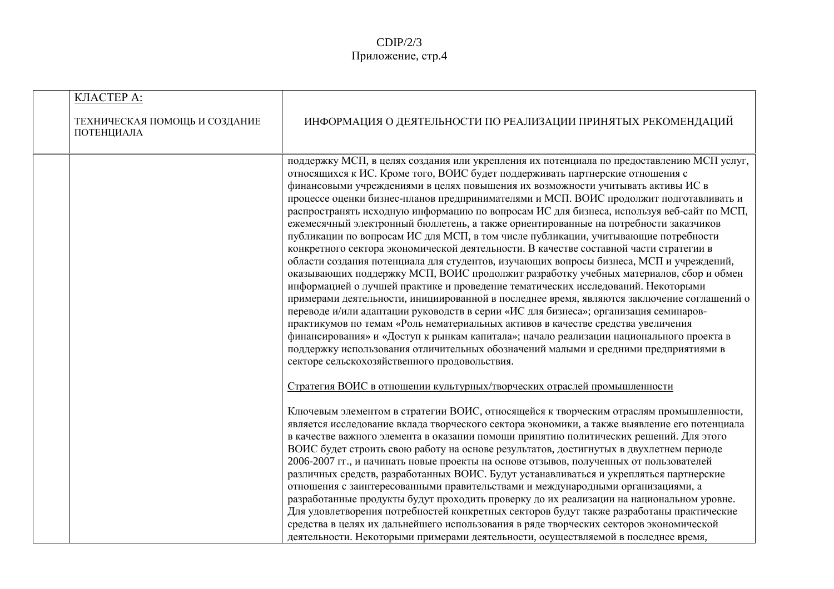| КЛАСТЕРА:<br>ТЕХНИЧЕСКАЯ ПОМОЩЬ И СОЗДАНИЕ<br>ПОТЕНЦИАЛА | ИНФОРМАЦИЯ О ДЕЯТЕЛЬНОСТИ ПО РЕАЛИЗАЦИИ ПРИНЯТЫХ РЕКОМЕНДАЦИЙ                                                                                                                                                                                                                                                                                                                                                                                                                                                                                                                                                                                                                                                                                                                                                                                                                                                                                                                                                                                                                                                                                                                                                                                                                                                                                                                                                                                                                                                     |
|----------------------------------------------------------|-------------------------------------------------------------------------------------------------------------------------------------------------------------------------------------------------------------------------------------------------------------------------------------------------------------------------------------------------------------------------------------------------------------------------------------------------------------------------------------------------------------------------------------------------------------------------------------------------------------------------------------------------------------------------------------------------------------------------------------------------------------------------------------------------------------------------------------------------------------------------------------------------------------------------------------------------------------------------------------------------------------------------------------------------------------------------------------------------------------------------------------------------------------------------------------------------------------------------------------------------------------------------------------------------------------------------------------------------------------------------------------------------------------------------------------------------------------------------------------------------------------------|
|                                                          | поддержку МСП, в целях создания или укрепления их потенциала по предоставлению МСП услуг,<br>относящихся к ИС. Кроме того, ВОИС будет поддерживать партнерские отношения с<br>финансовыми учреждениями в целях повышения их возможности учитывать активы ИС в<br>процессе оценки бизнес-планов предпринимателями и МСП. ВОИС продолжит подготавливать и<br>распространять исходную информацию по вопросам ИС для бизнеса, используя веб-сайт по МСП,<br>ежемесячный электронный бюллетень, а также ориентированные на потребности заказчиков<br>публикации по вопросам ИС для МСП, в том числе публикации, учитывающие потребности<br>конкретного сектора экономической деятельности. В качестве составной части стратегии в<br>области создания потенциала для студентов, изучающих вопросы бизнеса, МСП и учреждений,<br>оказывающих поддержку МСП, ВОИС продолжит разработку учебных материалов, сбор и обмен<br>информацией о лучшей практике и проведение тематических исследований. Некоторыми<br>примерами деятельности, инициированной в последнее время, являются заключение соглашений о<br>переводе и/или адаптации руководств в серии «ИС для бизнеса»; организация семинаров-<br>практикумов по темам «Роль нематериальных активов в качестве средства увеличения<br>финансирования» и «Доступ к рынкам капитала»; начало реализации национального проекта в<br>поддержку использования отличительных обозначений малыми и средними предприятиями в<br>секторе сельскохозяйственного продовольствия. |
|                                                          | Стратегия ВОИС в отношении культурных/творческих отраслей промышленности<br>Ключевым элементом в стратегии ВОИС, относящейся к творческим отраслям промышленности,<br>является исследование вклада творческого сектора экономики, а также выявление его потенциала<br>в качестве важного элемента в оказании помощи принятию политических решений. Для этого<br>ВОИС будет строить свою работу на основе результатов, достигнутых в двухлетнем периоде<br>2006-2007 гг., и начинать новые проекты на основе отзывов, полученных от пользователей<br>различных средств, разработанных ВОИС. Будут устанавливаться и укрепляться партнерские<br>отношения с заинтересованными правительствами и международными организациями, а<br>разработанные продукты будут проходить проверку до их реализации на национальном уровне.<br>Для удовлетворения потребностей конкретных секторов будут также разработаны практические<br>средства в целях их дальнейшего использования в ряде творческих секторов экономической<br>деятельности. Некоторыми примерами деятельности, осуществляемой в последнее время,                                                                                                                                                                                                                                                                                                                                                                                                             |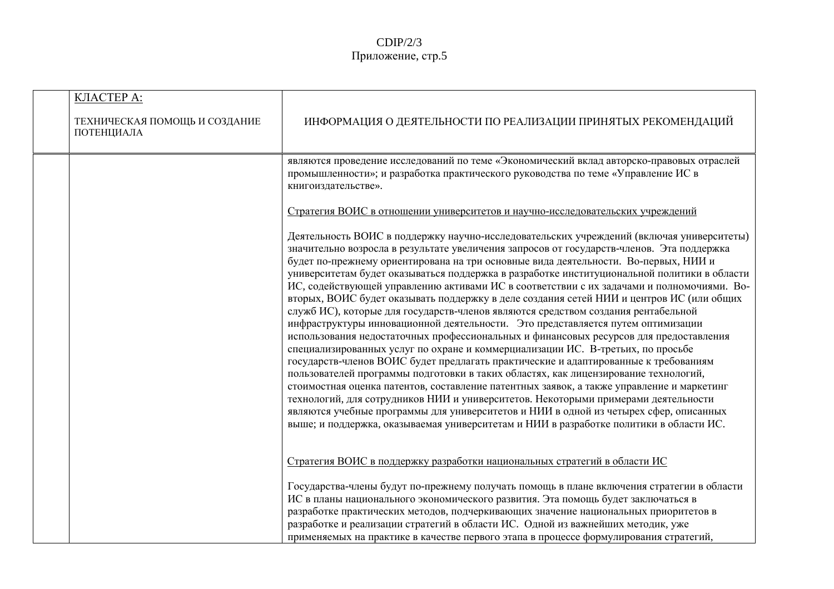| КЛАСТЕРА:<br>ТЕХНИЧЕСКАЯ ПОМОЩЬ И СОЗДАНИЕ<br>ПОТЕНЦИАЛА | ИНФОРМАЦИЯ О ДЕЯТЕЛЬНОСТИ ПО РЕАЛИЗАЦИИ ПРИНЯТЫХ РЕКОМЕНДАЦИЙ                                                                                                                                                                                                                                                                                                                                                                                                                                                                                                                                                                                                                                                                                                                                                                                                                                                                                                                                                                                                                                                                                                                                                                                                                                                                                                                                                                                                                |
|----------------------------------------------------------|------------------------------------------------------------------------------------------------------------------------------------------------------------------------------------------------------------------------------------------------------------------------------------------------------------------------------------------------------------------------------------------------------------------------------------------------------------------------------------------------------------------------------------------------------------------------------------------------------------------------------------------------------------------------------------------------------------------------------------------------------------------------------------------------------------------------------------------------------------------------------------------------------------------------------------------------------------------------------------------------------------------------------------------------------------------------------------------------------------------------------------------------------------------------------------------------------------------------------------------------------------------------------------------------------------------------------------------------------------------------------------------------------------------------------------------------------------------------------|
|                                                          | являются проведение исследований по теме «Экономический вклад авторско-правовых отраслей<br>промышленности»; и разработка практического руководства по теме «Управление ИС в<br>книгоиздательстве».                                                                                                                                                                                                                                                                                                                                                                                                                                                                                                                                                                                                                                                                                                                                                                                                                                                                                                                                                                                                                                                                                                                                                                                                                                                                          |
|                                                          | Стратегия ВОИС в отношении университетов и научно-исследовательских учреждений                                                                                                                                                                                                                                                                                                                                                                                                                                                                                                                                                                                                                                                                                                                                                                                                                                                                                                                                                                                                                                                                                                                                                                                                                                                                                                                                                                                               |
|                                                          | Деятельность ВОИС в поддержку научно-исследовательских учреждений (включая университеты)<br>значительно возросла в результате увеличения запросов от государств-членов. Эта поддержка<br>будет по-прежнему ориентирована на три основные вида деятельности. Во-первых, НИИ и<br>университетам будет оказываться поддержка в разработке институциональной политики в области<br>ИС, содействующей управлению активами ИС в соответствии с их задачами и полномочиями. Во-<br>вторых, ВОИС будет оказывать поддержку в деле создания сетей НИИ и центров ИС (или общих<br>служб ИС), которые для государств-членов являются средством создания рентабельной<br>инфраструктуры инновационной деятельности. Это представляется путем оптимизации<br>использования недостаточных профессиональных и финансовых ресурсов для предоставления<br>специализированных услуг по охране и коммерциализации ИС. В-третьих, по просьбе<br>государств-членов ВОИС будет предлагать практические и адаптированные к требованиям<br>пользователей программы подготовки в таких областях, как лицензирование технологий,<br>стоимостная оценка патентов, составление патентных заявок, а также управление и маркетинг<br>технологий, для сотрудников НИИ и университетов. Некоторыми примерами деятельности<br>являются учебные программы для университетов и НИИ в одной из четырех сфер, описанных<br>выше; и поддержка, оказываемая университетам и НИИ в разработке политики в области ИС. |
|                                                          | Стратегия ВОИС в поддержку разработки национальных стратегий в области ИС                                                                                                                                                                                                                                                                                                                                                                                                                                                                                                                                                                                                                                                                                                                                                                                                                                                                                                                                                                                                                                                                                                                                                                                                                                                                                                                                                                                                    |
|                                                          | Государства-члены будут по-прежнему получать помощь в плане включения стратегии в области<br>ИС в планы национального экономического развития. Эта помощь будет заключаться в<br>разработке практических методов, подчеркивающих значение национальных приоритетов в<br>разработке и реализации стратегий в области ИС. Одной из важнейших методик, уже<br>применяемых на практике в качестве первого этапа в процессе формулирования стратегий,                                                                                                                                                                                                                                                                                                                                                                                                                                                                                                                                                                                                                                                                                                                                                                                                                                                                                                                                                                                                                             |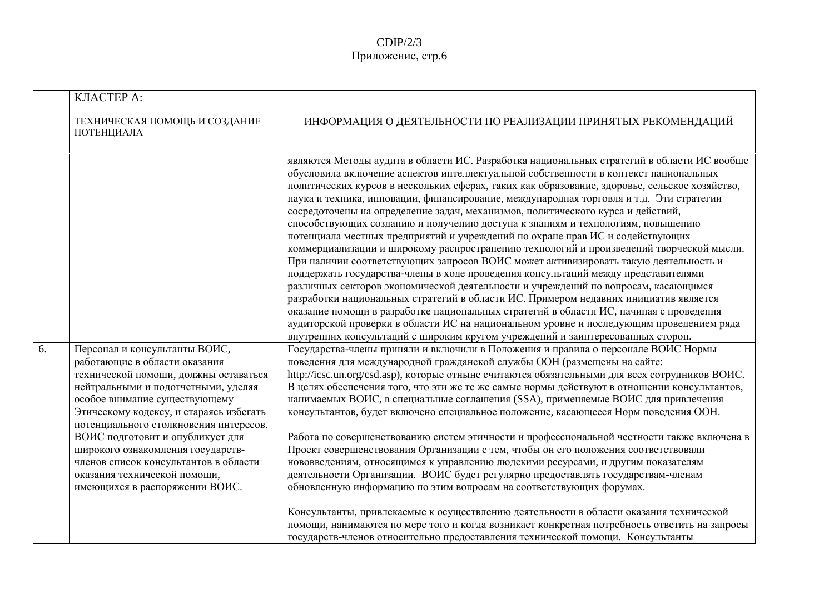|    | КЛАСТЕРА:<br>ТЕХНИЧЕСКАЯ ПОМОЩЬ И СОЗДАНИЕ<br>ПОТЕНЦИАЛА                                                                                                                                                                                                                                                                                                                               | ИНФОРМАЦИЯ О ДЕЯТЕЛЬНОСТИ ПО РЕАЛИЗАЦИИ ПРИНЯТЫХ РЕКОМЕНДАЦИЙ                                                                                                                                                                                                                                                                                                                                                                                                                                                                                                                                                                                                                                                                                                                                                                                                                                                                                                                                                                                                                                                                                                                                                                                                                                                                                                                                                                                                                                                                                                                                                                                                                                                                                                                                                                                                                                                                                                                                                                                                                                                                                                                         |
|----|----------------------------------------------------------------------------------------------------------------------------------------------------------------------------------------------------------------------------------------------------------------------------------------------------------------------------------------------------------------------------------------|---------------------------------------------------------------------------------------------------------------------------------------------------------------------------------------------------------------------------------------------------------------------------------------------------------------------------------------------------------------------------------------------------------------------------------------------------------------------------------------------------------------------------------------------------------------------------------------------------------------------------------------------------------------------------------------------------------------------------------------------------------------------------------------------------------------------------------------------------------------------------------------------------------------------------------------------------------------------------------------------------------------------------------------------------------------------------------------------------------------------------------------------------------------------------------------------------------------------------------------------------------------------------------------------------------------------------------------------------------------------------------------------------------------------------------------------------------------------------------------------------------------------------------------------------------------------------------------------------------------------------------------------------------------------------------------------------------------------------------------------------------------------------------------------------------------------------------------------------------------------------------------------------------------------------------------------------------------------------------------------------------------------------------------------------------------------------------------------------------------------------------------------------------------------------------------|
| 6. | Персонал и консультанты ВОИС,<br>работающие в области оказания<br>технической помощи, должны оставаться<br>нейтральными и подотчетными, уделяя<br>особое внимание существующему<br>Этическому кодексу, и стараясь избегать<br>потенциального столкновения интересов.<br>ВОИС подготовит и опубликует для<br>широкого ознакомления государств-<br>членов список консультантов в области | являются Методы аудита в области ИС. Разработка национальных стратегий в области ИС вообще<br>обусловила включение аспектов интеллектуальной собственности в контекст национальных<br>политических курсов в нескольких сферах, таких как образование, здоровье, сельское хозяйство,<br>наука и техника, инновации, финансирование, международная торговля и т.д. Эти стратегии<br>сосредоточены на определение задач, механизмов, политического курса и действий,<br>способствующих созданию и получению доступа к знаниям и технологиям, повышению<br>потенциала местных предприятий и учреждений по охране прав ИС и содействующих<br>коммерциализации и широкому распространению технологий и произведений творческой мысли.<br>При наличии соответствующих запросов ВОИС может активизировать такую деятельность и<br>поддержать государства-члены в ходе проведения консультаций между представителями<br>различных секторов экономической деятельности и учреждений по вопросам, касающимся<br>разработки национальных стратегий в области ИС. Примером недавних инициатив является<br>оказание помощи в разработке национальных стратегий в области ИС, начиная с проведения<br>аудиторской проверки в области ИС на национальном уровне и последующим проведением ряда<br>внутренних консультаций с широким кругом учреждений и заинтересованных сторон.<br>Государства-члены приняли и включили в Положения и правила о персонале ВОИС Нормы<br>поведения для международной гражданской службы ООН (размещены на сайте:<br>http://icsc.un.org/csd.asp), которые отныне считаются обязательными для всех сотрудников ВОИС.<br>В целях обеспечения того, что эти же те же самые нормы действуют в отношении консультантов,<br>нанимаемых ВОИС, в специальные соглашения (SSA), применяемые ВОИС для привлечения<br>консультантов, будет включено специальное положение, касающееся Норм поведения ООН.<br>Работа по совершенствованию систем этичности и профессиональной честности также включена в<br>Проект совершенствования Организации с тем, чтобы он его положения соответствовали<br>нововведениям, относящимся к управлению людскими ресурсами, и другим показателям |
|    | оказания технической помощи,<br>имеющихся в распоряжении ВОИС.                                                                                                                                                                                                                                                                                                                         | деятельности Организации. ВОИС будет регулярно предоставлять государствам-членам<br>обновленную информацию по этим вопросам на соответствующих форумах.                                                                                                                                                                                                                                                                                                                                                                                                                                                                                                                                                                                                                                                                                                                                                                                                                                                                                                                                                                                                                                                                                                                                                                                                                                                                                                                                                                                                                                                                                                                                                                                                                                                                                                                                                                                                                                                                                                                                                                                                                               |
|    |                                                                                                                                                                                                                                                                                                                                                                                        | Консультанты, привлекаемые к осуществлению деятельности в области оказания технической<br>помощи, нанимаются по мере того и когда возникает конкретная потребность ответить на запросы<br>государств-членов относительно предоставления технической помощи. Консультанты                                                                                                                                                                                                                                                                                                                                                                                                                                                                                                                                                                                                                                                                                                                                                                                                                                                                                                                                                                                                                                                                                                                                                                                                                                                                                                                                                                                                                                                                                                                                                                                                                                                                                                                                                                                                                                                                                                              |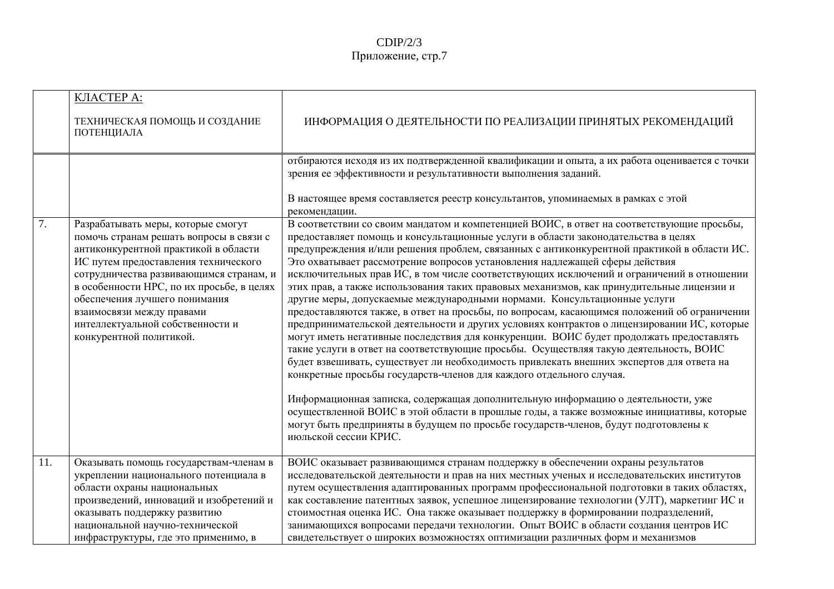|     | <b>КЛАСТЕРА:</b>                                                                                                                                                                                                                                                                                                                                                                   |                                                                                                                                                                                                                                                                                                                                                                                                                                                                                                                                                                                                                                                                                                                                                                                                                                                                                                                                                                                                                                                                                                                                                                                                                                                                                                                                                                                                                                                                                      |
|-----|------------------------------------------------------------------------------------------------------------------------------------------------------------------------------------------------------------------------------------------------------------------------------------------------------------------------------------------------------------------------------------|--------------------------------------------------------------------------------------------------------------------------------------------------------------------------------------------------------------------------------------------------------------------------------------------------------------------------------------------------------------------------------------------------------------------------------------------------------------------------------------------------------------------------------------------------------------------------------------------------------------------------------------------------------------------------------------------------------------------------------------------------------------------------------------------------------------------------------------------------------------------------------------------------------------------------------------------------------------------------------------------------------------------------------------------------------------------------------------------------------------------------------------------------------------------------------------------------------------------------------------------------------------------------------------------------------------------------------------------------------------------------------------------------------------------------------------------------------------------------------------|
|     | ТЕХНИЧЕСКАЯ ПОМОЩЬ И СОЗДАНИЕ<br>ПОТЕНЦИАЛА                                                                                                                                                                                                                                                                                                                                        | ИНФОРМАЦИЯ О ДЕЯТЕЛЬНОСТИ ПО РЕАЛИЗАЦИИ ПРИНЯТЫХ РЕКОМЕНДАЦИЙ                                                                                                                                                                                                                                                                                                                                                                                                                                                                                                                                                                                                                                                                                                                                                                                                                                                                                                                                                                                                                                                                                                                                                                                                                                                                                                                                                                                                                        |
|     |                                                                                                                                                                                                                                                                                                                                                                                    | отбираются исходя из их подтвержденной квалификации и опыта, а их работа оценивается с точки<br>зрения ее эффективности и результативности выполнения заданий.                                                                                                                                                                                                                                                                                                                                                                                                                                                                                                                                                                                                                                                                                                                                                                                                                                                                                                                                                                                                                                                                                                                                                                                                                                                                                                                       |
|     |                                                                                                                                                                                                                                                                                                                                                                                    | В настоящее время составляется реестр консультантов, упоминаемых в рамках с этой<br>рекомендации.                                                                                                                                                                                                                                                                                                                                                                                                                                                                                                                                                                                                                                                                                                                                                                                                                                                                                                                                                                                                                                                                                                                                                                                                                                                                                                                                                                                    |
| 7.  | Разрабатывать меры, которые смогут<br>помочь странам решать вопросы в связи с<br>антиконкурентной практикой в области<br>ИС путем предоставления технического<br>сотрудничества развивающимся странам, и<br>в особенности НРС, по их просьбе, в целях<br>обеспечения лучшего понимания<br>взаимосвязи между правами<br>интеллектуальной собственности и<br>конкурентной политикой. | В соответствии со своим мандатом и компетенцией ВОИС, в ответ на соответствующие просьбы,<br>предоставляет помощь и консультационные услуги в области законодательства в целях<br>предупреждения и/или решения проблем, связанных с антиконкурентной практикой в области ИС.<br>Это охватывает рассмотрение вопросов установления надлежащей сферы действия<br>исключительных прав ИС, в том числе соответствующих исключений и ограничений в отношении<br>этих прав, а также использования таких правовых механизмов, как принудительные лицензии и<br>другие меры, допускаемые международными нормами. Консультационные услуги<br>предоставляются также, в ответ на просьбы, по вопросам, касающимся положений об ограничении<br>предпринимательской деятельности и других условиях контрактов о лицензировании ИС, которые<br>могут иметь негативные последствия для конкуренции. ВОИС будет продолжать предоставлять<br>такие услуги в ответ на соответствующие просьбы. Осуществляя такую деятельность, ВОИС<br>будет взвешивать, существует ли необходимость привлекать внешних экспертов для ответа на<br>конкретные просьбы государств-членов для каждого отдельного случая.<br>Информационная записка, содержащая дополнительную информацию о деятельности, уже<br>осуществленной ВОИС в этой области в прошлые годы, а также возможные инициативы, которые<br>могут быть предприняты в будущем по просьбе государств-членов, будут подготовлены к<br>июльской сессии КРИС. |
| 11. | Оказывать помощь государствам-членам в<br>укреплении национального потенциала в<br>области охраны национальных                                                                                                                                                                                                                                                                     | ВОИС оказывает развивающимся странам поддержку в обеспечении охраны результатов<br>исследовательской деятельности и прав на них местных ученых и исследовательских институтов<br>путем осуществления адаптированных программ профессиональной подготовки в таких областях,                                                                                                                                                                                                                                                                                                                                                                                                                                                                                                                                                                                                                                                                                                                                                                                                                                                                                                                                                                                                                                                                                                                                                                                                           |
|     | произведений, инноваций и изобретений и<br>оказывать поддержку развитию<br>национальной научно-технической<br>инфраструктуры, где это применимо, в                                                                                                                                                                                                                                 | как составление патентных заявок, успешное лицензирование технологии (УЛТ), маркетинг ИС и<br>стоимостная оценка ИС. Она также оказывает поддержку в формировании подразделений,<br>занимающихся вопросами передачи технологии. Опыт ВОИС в области создания центров ИС<br>свидетельствует о широких возможностях оптимизации различных форм и механизмов                                                                                                                                                                                                                                                                                                                                                                                                                                                                                                                                                                                                                                                                                                                                                                                                                                                                                                                                                                                                                                                                                                                            |